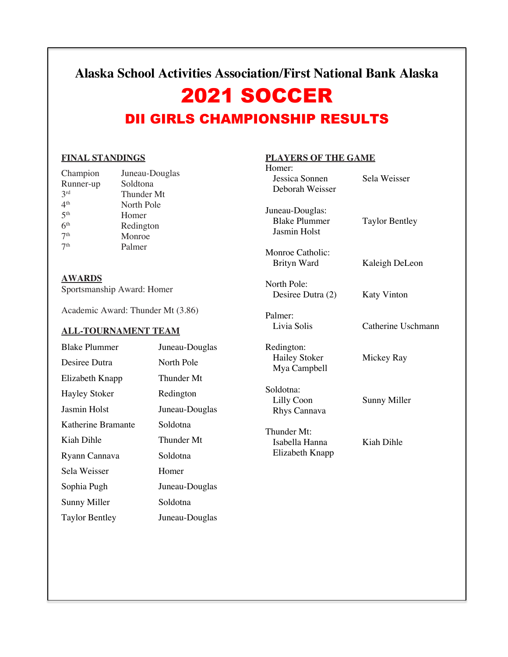## **Alaska School Activities Association/First National Bank Alaska**

# 2021 SOCCER DII GIRLS CHAMPIONSHIP RESULTS

### **FINAL STANDINGS**

| Champion        | Juneau-Douglas |
|-----------------|----------------|
| Runner-up       | Soldtona       |
| 2rd             | Thunder Mt     |
| 4 <sup>th</sup> | North Pole     |
| 5 <sup>th</sup> | Homer          |
| 6 <sup>th</sup> | Redington      |
| 7 <sup>th</sup> | Monroe         |
| 7 <sup>th</sup> | Palmer         |
|                 |                |

**AWARDS** Sportsmanship Award: Homer

Academic Award: Thunder Mt (3.86)

### **ALL-TOURNAMENT TEAM**

| <b>Blake Plummer</b>  | Juneau-Douglas |
|-----------------------|----------------|
| Desiree Dutra         | North Pole     |
| Elizabeth Knapp       | Thunder Mt     |
| <b>Hayley Stoker</b>  | Redington      |
| Jasmin Holst          | Juneau-Douglas |
| Katherine Bramante    | Soldotna       |
| Kiah Dihle            | Thunder Mt     |
| Ryann Cannava         | Soldotna       |
| Sela Weisser          | Homer          |
| Sophia Pugh           | Juneau-Douglas |
| Sunny Miller          | Soldotna       |
| <b>Taylor Bentley</b> | Juneau-Douglas |

### **PLAYERS OF THE GAME**

| <b>Taylor Bentley</b><br>Kaleigh DeLeon<br><b>Katy Vinton</b> |
|---------------------------------------------------------------|
|                                                               |
|                                                               |
|                                                               |
| Catherine Uschmann                                            |
| Mickey Ray                                                    |
| Sunny Miller                                                  |
| Kiah Dihle                                                    |
|                                                               |